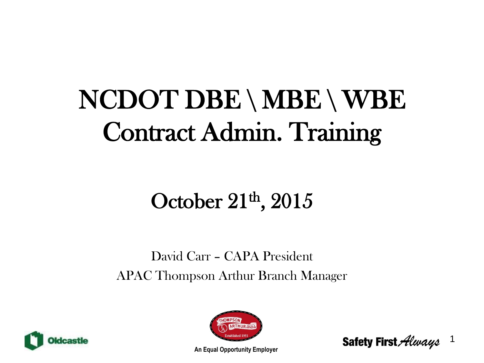# NCDOT DBE \ MBE \ WBE Contract Admin. Training

# October  $21<sup>th</sup>$ ,  $2015$

### David Carr – CAPA President APAC Thompson Arthur Branch Manager





1 Safety First Always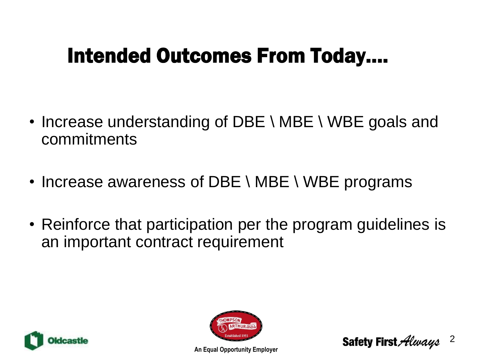## Intended Outcomes From Today….

- Increase understanding of DBE \ MBE \ WBE goals and commitments
- Increase awareness of DBE \ MBE \ WBE programs
- Reinforce that participation per the program guidelines is an important contract requirement



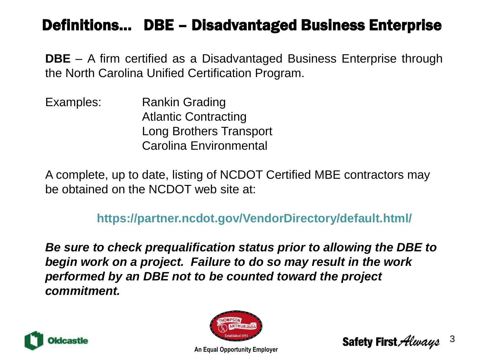### Definitions… DBE – Disadvantaged Business Enterprise

**DBE** – A firm certified as a Disadvantaged Business Enterprise through the North Carolina Unified Certification Program.

Examples: Rankin Grading Atlantic Contracting Long Brothers Transport Carolina Environmental

A complete, up to date, listing of NCDOT Certified MBE contractors may be obtained on the NCDOT web site at:

### **https://partner.ncdot.gov/VendorDirectory/default.html/**

*Be sure to check prequalification status prior to allowing the DBE to begin work on a project. Failure to do so may result in the work performed by an DBE not to be counted toward the project commitment.*





**Safety First Always** 

3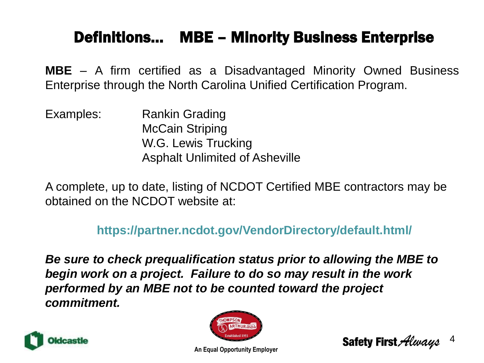### Definitions… MBE – Minority Business Enterprise

**MBE** – A firm certified as a Disadvantaged Minority Owned Business Enterprise through the North Carolina Unified Certification Program.

Examples: Rankin Grading McCain Striping W.G. Lewis Trucking Asphalt Unlimited of Asheville

A complete, up to date, listing of NCDOT Certified MBE contractors may be obtained on the NCDOT website at:

**https://partner.ncdot.gov/VendorDirectory/default.html/**

*Be sure to check prequalification status prior to allowing the MBE to begin work on a project. Failure to do so may result in the work performed by an MBE not to be counted toward the project commitment.*





4 Safety First Always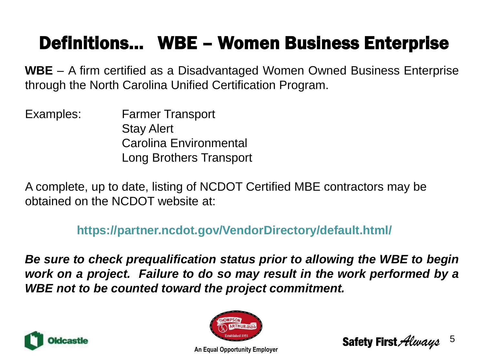### Definitions… WBE – Women Business Enterprise

**WBE** – A firm certified as a Disadvantaged Women Owned Business Enterprise through the North Carolina Unified Certification Program.

Examples: Farmer Transport Stay Alert Carolina Environmental Long Brothers Transport

A complete, up to date, listing of NCDOT Certified MBE contractors may be obtained on the NCDOT website at:

**https://partner.ncdot.gov/VendorDirectory/default.html/**

*Be sure to check prequalification status prior to allowing the WBE to begin work on a project. Failure to do so may result in the work performed by a WBE not to be counted toward the project commitment.*





5 **Safety First Alevays**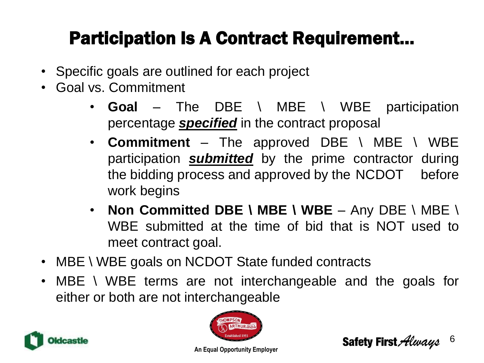### Participation Is A Contract Requirement…

- Specific goals are outlined for each project
- Goal vs. Commitment
	- **Goal** The DBE \ MBE \ WBE participation percentage *specified* in the contract proposal
	- **Commitment** The approved DBE \ MBE \ WBE participation *submitted* by the prime contractor during the bidding process and approved by the NCDOT before work begins
	- **Non Committed DBE \ MBE \ WBE** Any DBE \ MBE \ WBE submitted at the time of bid that is NOT used to meet contract goal.
- MBE \ WBE goals on NCDOT State funded contracts
- MBE \ WBE terms are not interchangeable and the goals for either or both are not interchangeable



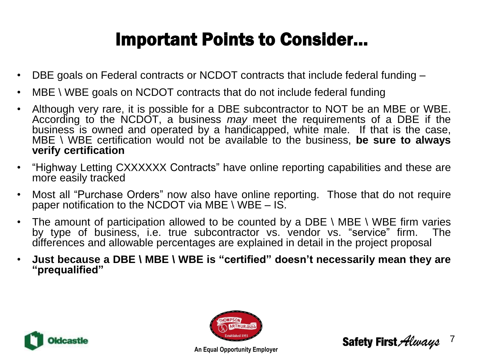### Important Points to Consider…

- DBE goals on Federal contracts or NCDOT contracts that include federal funding –
- MBE  $\setminus$  WBE goals on NCDOT contracts that do not include federal funding
- Although very rare, it is possible for a DBE subcontractor to NOT be an MBE or WBE. According to the NCDOT, a business *may* meet the requirements of a DBE if the business is owned and operated by a handicapped, white male. If that is the case, MBE \ WBE certification would not be available to the business, **be sure to always verify certification**
- "Highway Letting CXXXXXX Contracts" have online reporting capabilities and these are more easily tracked
- Most all "Purchase Orders" now also have online reporting. Those that do not require paper notification to the NCDOT via MBE  $\setminus$  WBE – IS.
- The amount of participation allowed to be counted by a DBE \ MBE \ WBE firm varies by type of business, i.e. true subcontractor vs. vendor vs. "service" firm. The differences and allowable percentages are explained in detail in the project proposal
- **Just because a DBE \ MBE \ WBE is "certified" doesn't necessarily mean they are "prequalified"**





**Safety First Always** 7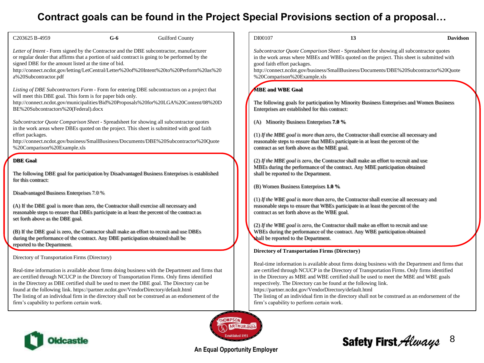### **Contract goals can be found in the Project Special Provisions section of a proposal…**

| C <sub>203625</sub> B-4959                                                                                                                                                                                                                                                                                                                                                                                                                                                          | $G-6$ | <b>Guilford County</b>                                                                                                                                                                                                                                                                                                                                                                              |  | DI00107                                                                                                                                                                                                                                                                                                                                     | 13                                                                                                                                                                                                                                                                                                                                                                                                                                                                                                                                                                                  | <b>Davidson</b> |
|-------------------------------------------------------------------------------------------------------------------------------------------------------------------------------------------------------------------------------------------------------------------------------------------------------------------------------------------------------------------------------------------------------------------------------------------------------------------------------------|-------|-----------------------------------------------------------------------------------------------------------------------------------------------------------------------------------------------------------------------------------------------------------------------------------------------------------------------------------------------------------------------------------------------------|--|---------------------------------------------------------------------------------------------------------------------------------------------------------------------------------------------------------------------------------------------------------------------------------------------------------------------------------------------|-------------------------------------------------------------------------------------------------------------------------------------------------------------------------------------------------------------------------------------------------------------------------------------------------------------------------------------------------------------------------------------------------------------------------------------------------------------------------------------------------------------------------------------------------------------------------------------|-----------------|
| Letter of Intent - Form signed by the Contractor and the DBE subcontractor, manufacturer<br>or regular dealer that affirms that a portion of said contract is going to be performed by the<br>signed DBE for the amount listed at the time of bid.<br>http://connect.ncdot.gov/letting/LetCentral/Letter%20of%20Intent%20to%20Perform%20as%20<br>a%20Subcontractor.pdf                                                                                                              |       |                                                                                                                                                                                                                                                                                                                                                                                                     |  | Subcontractor Quote Comparison Sheet - Spreadsheet for showing all subcontractor quotes<br>in the work areas where MBEs and WBEs quoted on the project. This sheet is submitted with<br>good faith effort packages.<br>http://connect.ncdot.gov/business/SmallBusiness/Documents/DBE%20Subcontractor%20Quote<br>%20Comparison%20Example.xls |                                                                                                                                                                                                                                                                                                                                                                                                                                                                                                                                                                                     |                 |
| Listing of DBE Subcontractors Form - Form for entering DBE subcontractors on a project that<br>will meet this DBE goal. This form is for paper bids only.<br>http://connect.ncdot.gov/municipalities/Bid%20Proposals%20for%20LGA%20Content/08%20D<br>BE%20Subcontractors%20(Federal).docx                                                                                                                                                                                           |       |                                                                                                                                                                                                                                                                                                                                                                                                     |  | <b>MBE and WBE Goal</b><br>Enterprises are established for this contract:                                                                                                                                                                                                                                                                   | The following goals for participation by Minority Business Enterprises and Women Business                                                                                                                                                                                                                                                                                                                                                                                                                                                                                           |                 |
| effort packages.<br>%20Comparison%20Example.xls                                                                                                                                                                                                                                                                                                                                                                                                                                     |       | Subcontractor Quote Comparison Sheet - Spreadsheet for showing all subcontractor quotes<br>in the work areas where DBEs quoted on the project. This sheet is submitted with good faith<br>http://connect.ncdot.gov/business/SmallBusiness/Documents/DBE%20Subcontractor%20Quote                                                                                                                     |  | (A) Minority Business Enterprises 7.0 %<br>contract as set forth above as the MBE goal.                                                                                                                                                                                                                                                     | (1) If the MBE goal is more than zero, the Contractor shall exercise all necessary and<br>reasonable steps to ensure that MBEs participate in at least the percent of the                                                                                                                                                                                                                                                                                                                                                                                                           |                 |
| <b>DBE</b> Goal<br>for this contract:                                                                                                                                                                                                                                                                                                                                                                                                                                               |       | The following DBE goal for participation by Disadvantaged Business Enterprises is established                                                                                                                                                                                                                                                                                                       |  | shall be reported to the Department.                                                                                                                                                                                                                                                                                                        | (2) If the MBE goal is zero, the Contractor shall make an effort to recruit and use<br>MBEs during the performance of the contract. Any MBE participation obtained                                                                                                                                                                                                                                                                                                                                                                                                                  |                 |
| Disadvantaged Business Enterprises 7.0 %<br>(A) If the DBE goal is more than zero, the Contractor shall exercise all necessary and<br>reasonable steps to ensure that DBEs participate in at least the percent of the contract as<br>set forth above as the DBE goal.<br>(B) If the DBE goal is zero, the Contractor shall make an effort to recruit and use DBEs<br>during the performance of the contract. Any DBE participation obtained shall be<br>reported to the Department. |       |                                                                                                                                                                                                                                                                                                                                                                                                     |  | (B) Women Business Enterprises 1.0 %<br>contract as set forth above as the WBE goal.<br>shall be reported to the Department.                                                                                                                                                                                                                | (1) If the WBE goal is more than zero, the Contractor shall exercise all necessary and<br>reasonable steps to ensure that WBEs participate in at least the percent of the<br>(2) If the WBE goal is zero, the Contractor shall make an effort to recruit and use<br>WBEs during the performance of the contract. Any WBE participation obtained                                                                                                                                                                                                                                     |                 |
| Directory of Transportation Firms (Directory)<br>found at the following link. https://partner.ncdot.gov/VendorDirectory/default.html<br>firm's capability to perform certain work.                                                                                                                                                                                                                                                                                                  |       | Real-time information is available about firms doing business with the Department and firms that<br>are certified through NCUCP in the Directory of Transportation Firms. Only firms identified<br>in the Directory as DBE certified shall be used to meet the DBE goal. The Directory can be<br>The listing of an individual firm in the directory shall not be construed as an endorsement of the |  | firm's capability to perform certain work.                                                                                                                                                                                                                                                                                                  | <b>Directory of Transportation Firms (Directory)</b><br>Real-time information is available about firms doing business with the Department and firms that<br>are certified through NCUCP in the Directory of Transportation Firms. Only firms identified<br>in the Directory as MBE and WBE certified shall be used to meet the MBE and WBE goals<br>respectively. The Directory can be found at the following link.<br>https://partner.ncdot.gov/VendorDirectory/default.html<br>The listing of an individual firm in the directory shall not be construed as an endorsement of the |                 |
| <b>Oldcastle</b>                                                                                                                                                                                                                                                                                                                                                                                                                                                                    |       |                                                                                                                                                                                                                                                                                                                                                                                                     |  |                                                                                                                                                                                                                                                                                                                                             | <b>Safety First Always</b>                                                                                                                                                                                                                                                                                                                                                                                                                                                                                                                                                          | 8               |

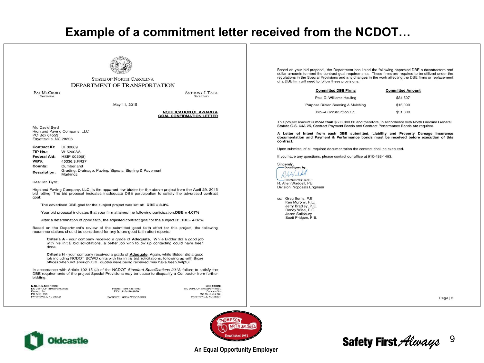### Example of a commitment letter received from the NCDOT...



#### **STATE OF NORTH CAROLINA DEPARTMENT OF TRANSPORTATION**

**PAT MCCRORY GOVERNOR** 

**ANTHONY J. TATA SECRETARY** 

May 11, 2015

#### **NOTIFICATION OF AWARD & GOAL CONFIRMATION LETTER**

Mr. David Byrd Highland Paving Company, LLC PO Box 64553 Fayetteville, NC 28306

| <b>Contract ID:</b> | DF00089                                                            |
|---------------------|--------------------------------------------------------------------|
| TIP No.:            | W-5206AA                                                           |
| Federal Aid:        | HSIP-0059(8)                                                       |
| WBS:                | 45336.3.FR27                                                       |
| County:             | Cumberland                                                         |
| Description:        | Grading, Drainage, Paving, Signals, Signing & Pavement<br>Markings |

Dear Mr. Byrd:

Highland Paving Company, LLC, is the apparent low bidder for the above project from the April 29, 2015 bid letting. The bid proposal indicates inadequate DBE participation to satisfy the advertised contract goal:

The advertised DBE goal for the subject project was set at:  $\text{DBE} = 8.0\%$ 

Your bid proposal indicates that your firm attained the following participation:  $\bf{DBE} = 4.07\%$ 

After a determination of good faith, the adjusted contract goal for the subject is: DBE= 4.07%

Based on the Department's review of the submitted good faith effort for this project, the following recommendations should be considered for any future good faith effort reports:

Criteria A - your company received a grade of **Adequate**. While Bidder did a good job with his initial bid solicitations, a better job with follow up contacting could have been done.

Criteria H - your company received a grade of **Adequate**. Again, while Bidder did a good job including NCDOT BOWD units with his initial bid solicitations, following up with those offices when not enough DBE quotes were being received may have been helpful.

In accordance with Article 102-15 (J) of the NCDOT Standard Specifications 2012, failure to satisfy the DBE requirements of the project Special Provisions may be cause to disqualify a Contractor from further bidding.

**MAILING ADDRESS:** NC DEPT. OF TRANSPORTATION **DIVISION SIX** PO Box 1150 FAYETTEVILLE, NC 28302

PHONE: 910-486-1493 FAX: 910-486-1959 WEBSITE: WWW.NCDOT.ORG NC DEPT. OF TRANSPORTATION **LOCATION: SSR GILLEONE ST** FAYETTEVILLE, NC 2830

Based on your bid proposal, the Department has listed the following approved DBE subcontractors and dollar amounts to meet the contract goal requirements. These firms are required to be utilized under the regulations in the Special Provisions and any changes in the work affecting the DBE firms or replacement of a DBE firm will need to follow these provisions.

| <b>Committed DBE Firms</b>        | <b>Committed Amount</b> |
|-----------------------------------|-------------------------|
| Paul D. Williams Hauling          | \$34,597                |
| Purpose Driven Seeding & Mulching | \$15,090                |
| Browe Construction Co.            | \$31,000                |

This project amount is more than \$500,000.00 and therefore, in accordance with North Carolina General Statute G.S. 44A-25, Contract Payment Bonds and Contract Performance Bonds are required.

A Letter of Intent from each DBE submitted, Liability and Property Damage Insurance documentation and Payment & Performance bonds must be received before execution of this contract.

Upon submittal of all required documentation the contract shall be executed.

If you have any questions, please contact our office at 910-486-1493.

Sincerely,<br>
DocuSigned by

 $-$ F06892B7CB3147F

R. Allen Waddell, PE **Division Proposals Engineer** 

cc: Greg Burns, P.E. Ken Murphy, P.E. Jerry Bradley, P.E. Randy Wise, P.E. Jason Salisbury Scott Pridgen, P.E.

Page | 2





#### **An Equal Opportunity Employer**

### Safety First Always 9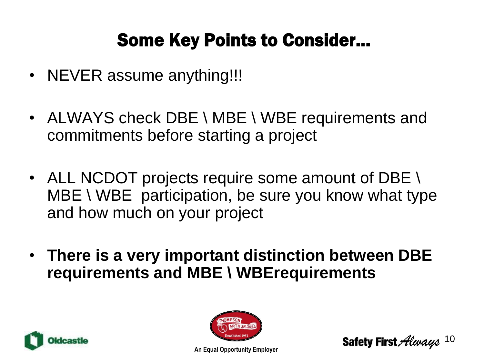### Some Key Points to Consider…

- NEVER assume anything!!!
- ALWAYS check DBE \ MBE \ WBE requirements and commitments before starting a project
- ALL NCDOT projects require some amount of DBE \ MBE \ WBE participation, be sure you know what type and how much on your project
- **There is a very important distinction between DBE requirements and MBE \ WBErequirements**





Safety First *Always*  $10$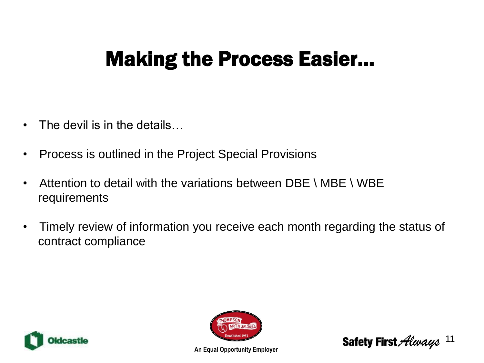## Making the Process Easier…

- The devil is in the details...
- Process is outlined in the Project Special Provisions
- Attention to detail with the variations between DBE \ MBE \ WBE requirements
- Timely review of information you receive each month regarding the status of contract compliance





**Safety First Always** 11